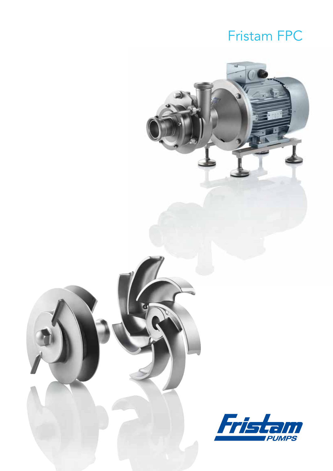## Fristam FPC